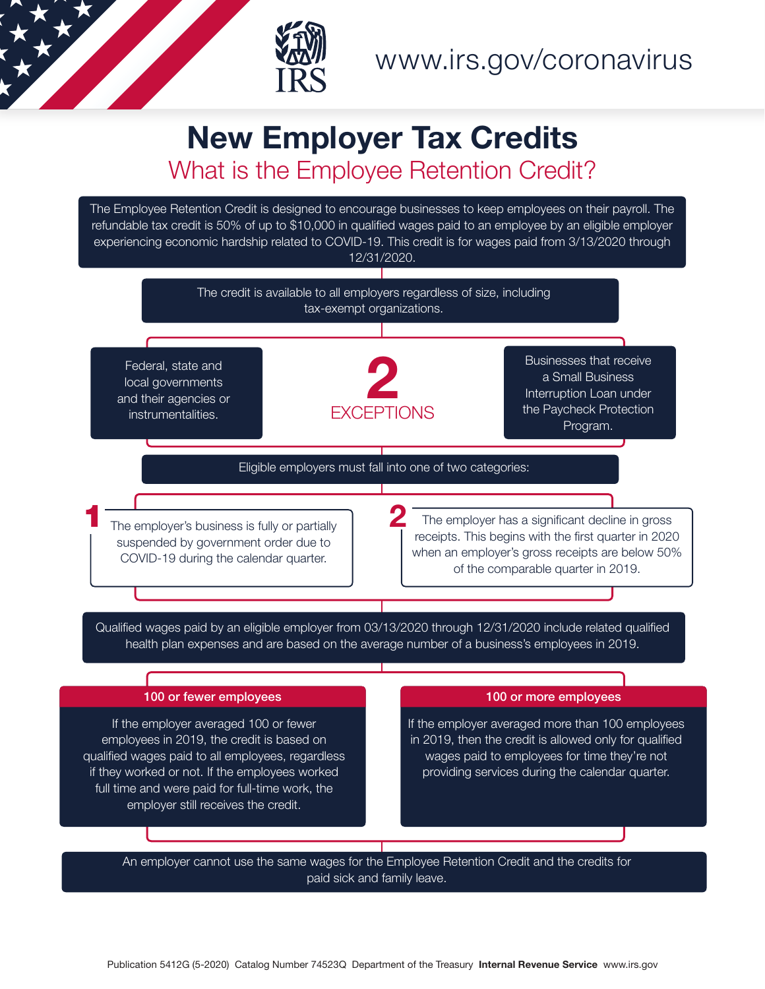

## New Employer Tax Credits What is the Employee Retention Credit?

The Employee Retention Credit is designed to encourage businesses to keep employees on their payroll. The refundable tax credit is 50% of up to \$10,000 in qualified wages paid to an employee by an eligible employer experiencing economic hardship related to COVID-19. This credit is for wages paid from 3/13/2020 through 12/31/2020.